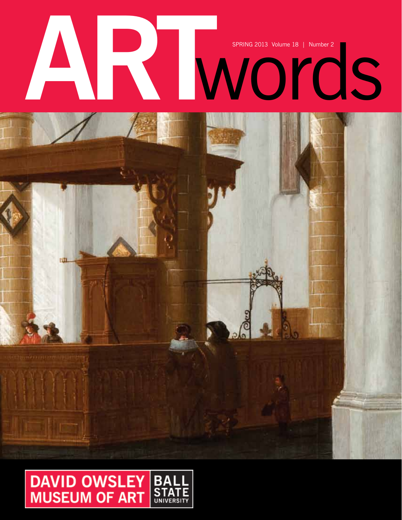# SPRING 2013 Volume 18 | Number 2

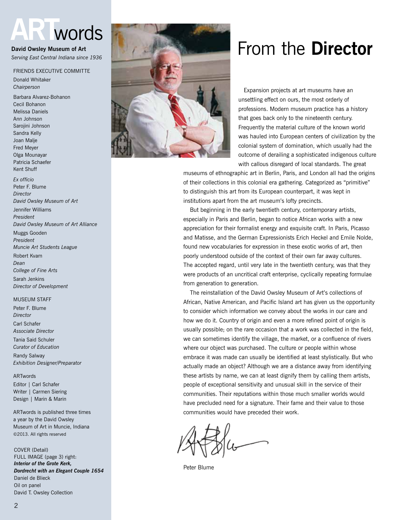# **ART**words

**David Owsley Museum of Art** *Serving East Central Indiana since 1936*

#### Friends Executive Committe

Donald Whitaker *Chairperson*

Barbara Alvarez-Bohanon Cecil Bohanon Melissa Daniels Ann Johnson Sarojini Johnson Sandra Kelly Joan Malje Fred Meyer Olga Mounayar Patricia Schaefer Kent Shuff

*Ex officio* Peter F. Blume *Director David Owsley Museum of Art* Jennifer Williams

*President David Owsley Museum of Art Alliance*

Muggs Gooden *President Muncie Art Students League*

Robert Kvam *Dean College of Fine Arts* Sarah Jenkins *Director of Development*

#### **MUSEUM STAFF**

Peter F. Blume *Director* Carl Schafer *Associate Director* Tania Said Schuler *Curator of Education* Randy Salway *Exhibition Designer/Preparator*

#### ARTwords

Editor | Carl Schafer Writer | Carmen Siering Design | Marin & Marin

ARTwords is published three times a year by the David Owsley Museum of Art in Muncie, Indiana ©2013. All rights reserved

COVER (Detail) FULL IMAGE (page 3) right: *Interior of the Grote Kerk, Dordrecht with an Elegant Couple 1654* Daniel de Blieck Oil on panel David T. Owsley Collection



# From the **Director**

 Expansion projects at art museums have an unsettling effect on ours, the most orderly of professions. Modern museum practice has a history that goes back only to the nineteenth century. Frequently the material culture of the known world was hauled into European centers of civilization by the colonial system of domination, which usually had the outcome of derailing a sophisticated indigenous culture with callous disregard of local standards. The great

museums of ethnographic art in Berlin, Paris, and London all had the origins of their collections in this colonial era gathering. Categorized as "primitive" to distinguish this art from its European counterpart, it was kept in institutions apart from the art museum's lofty precincts.

But beginning in the early twentieth century, contemporary artists, especially in Paris and Berlin, began to notice African works with a new appreciation for their formalist energy and exquisite craft. In Paris, Picasso and Matisse, and the German Expressionists Erich Heckel and Emile Nolde, found new vocabularies for expression in these exotic works of art, then poorly understood outside of the context of their own far away cultures. The accepted regard, until very late in the twentieth century, was that they were products of an uncritical craft enterprise, cyclically repeating formulae from generation to generation.

 The reinstallation of the David Owsley Museum of Art's collections of African, Native American, and Pacific Island art has given us the opportunity to consider which information we convey about the works in our care and how we do it. Country of origin and even a more refined point of origin is usually possible; on the rare occasion that a work was collected in the field, we can sometimes identify the village, the market, or a confluence of rivers where our object was purchased. The culture or people within whose embrace it was made can usually be identified at least stylistically. But who actually made an object? Although we are a distance away from identifying these artists by name, we can at least dignify them by calling them artists, people of exceptional sensitivity and unusual skill in the service of their communities. Their reputations within those much smaller worlds would have precluded need for a signature. Their fame and their value to those communities would have preceded their work.

Peter Blume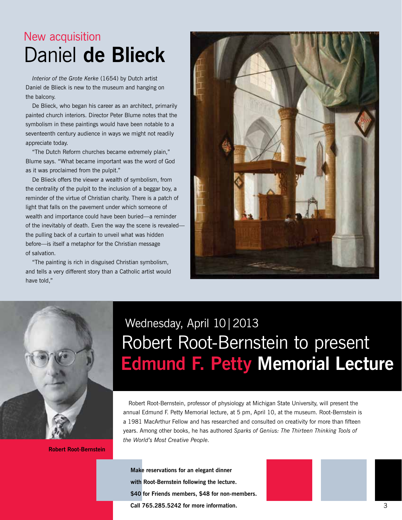# New acquisition Daniel **de Blieck**

*Interior of the Grote Kerke* (1654) by Dutch artist Daniel de Blieck is new to the museum and hanging on the balcony.

 De Blieck, who began his career as an architect, primarily painted church interiors. Director Peter Blume notes that the symbolism in these paintings would have been notable to a seventeenth century audience in ways we might not readily appreciate today.

"The Dutch Reform churches became extremely plain," Blume says. "What became important was the word of God as it was proclaimed from the pulpit."

 De Blieck offers the viewer a wealth of symbolism, from the centrality of the pulpit to the inclusion of a beggar boy, a reminder of the virtue of Christian charity. There is a patch of light that falls on the pavement under which someone of wealth and importance could have been buried—a reminder of the inevitably of death. Even the way the scene is revealed the pulling back of a curtain to unveil what was hidden before—is itself a metaphor for the Christian message of salvation.

"The painting is rich in disguised Christian symbolism, and tells a very different story than a Catholic artist would have told,"





**Robert Root-Bernstein**

# Wednesday, April 10|2013 Robert Root-Bernstein to present **Edmund F. Petty Memorial Lecture**

 Robert Root-Bernstein, professor of physiology at Michigan State University, will present the annual Edmund F. Petty Memorial lecture, at 5 pm, April 10, at the museum. Root-Bernstein is a 1981 MacArthur Fellow and has researched and consulted on creativity for more than fifteen years. Among other books, he has authored *Sparks of Genius: The Thirteen Thinking Tools of the World's Most Creative People.*

**Make reservations for an elegant dinner with Root-Bernstein following the lecture. \$40 for Friends members, \$48 for non-members. Call 765.285.5242 for more information.**

3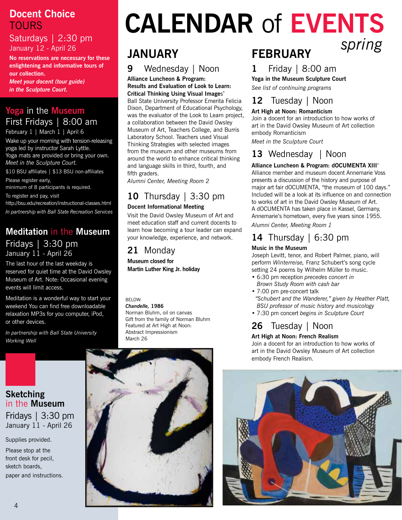## **Docent Choice** Tours

#### Saturdays | 2:30 pm January 12 - April 26

**No reservations are necessary for these enlightening and informative tours of our collection.** 

*Meet your docent (tour guide) in the Sculpture Court.*

# **Yoga** in the **Museum** First Fridays | 8:00 am

February 1 | March 1 | April 6

Wake up your morning with tension-releasing yoga led by instructor Sarah Lyttle. Yoga mats are provided or bring your own. *Meet in the Sculpture Court.*

\$10 BSU affiliates | \$13 BSU non-affiliates Please register early,

minimum of 8 participants is required.

To register and pay, visit

http://bsu.edu/recreation/instructional-classes.html *In partnership with Ball State Recreation Services* 

## **Meditation** in the **Museum** Fridays | 3:30 pm January 11 - April 26

The last hour of the last weekday is reserved for quiet time at the David Owsley Museum of Art. Note: Occasional evening events will limit access.

Meditation is a wonderful way to start your weekend You can find free downloadable relaxation MP3s for you computer, iPod, or other devices.

*In partnership with Ball State University Working Well*

# **Calendar** of **Events** *spring*

# **january**

# **9** Wednesday | Noon

**Alliance Luncheon & Program: Results and Evaluation of Look to Learn: Critical Thinking Using Visual Image**s**\*** Ball State University Professor Emerita Felicia Dixon, Department of Educational Psychology, was the evaluator of the Look to Learn project, a collaboration between the David Owsley Museum of Art, Teachers College, and Burris Laboratory School. Teachers used Visual Thinking Strategies with selected images from the museum and other museums from around the world to enhance critical thinking and language skills in third, fourth, and fifth graders.

*Alumni Center, Meeting Room 2*

# **10** Thursday | 3:30 pm

#### **Docent Informational Meeting**

Visit the David Owsley Museum of Art and meet education staff and current docents to learn how becoming a tour leader can expand your knowledge, experience, and network.

## **21** Monday

**Museum closed for Martin Luther King Jr. holiday**

#### below: *Chandelle,* **1986**

Norman Bluhm, oil on canvas Gift from the family of Norman Bluhm Featured at Art High at Noon: Abstract Impressionism March 26

#### **Sketching** in the **Museum**

Fridays | 3:30 pm January 11 - April 26

Supplies provided.

Please stop at the front desk for pecil, sketch boards, paper and instructions.



# **february**

# **1** Friday | 8:00 am

**Yoga in the Museum Sculpture Court**

*See list of continuing programs*

# **12** Tuesday | Noon

#### **Art High at Noon: Romanticism**

Join a docent for an introduction to how works of art in the David Owsley Museum of Art collection embody Romanticism

*Meet in the Sculpture Court*

# **13** Wednesday | Noon

#### **Alliance Luncheon & Program: dOCUMENTA XIII\***

Alliance member and museum docent Annemarie Voss presents a discussion of the history and purpose of major art fair dOCUMENTA, "the museum of 100 days." Included will be a look at its influence on and connection to works of art in the David Owsley Museum of Art. A dOCUMENTA has taken place in Kassel, Germany, Annemarie's hometown, every five years since 1955.

*Alumni Center, Meeting Room 1*

# **14** Thursday | 6:30 pm

#### **Music in the Museum**

Joseph Levitt, tenor, and Robert Palmer, piano, will perform *Winterreise,* Franz Schubert's song cycle setting 24 poems by Wilhelm Müller to music.

- 6:30 pm reception *precedes concert in Brown Study Room with cash bar*
- 7:00 pm pre-concert talk  *"Schubert and the Wanderer," given by Heather Platt, BSU professor of music history and musicology*
- 7:30 pm concert *begins in Sculpture Court*

# **26** Tuesday | Noon

#### **Art High at Noon: French Realism**

Join a docent for an introduction to how works of art in the David Owsley Museum of Art collection embody French Realism.

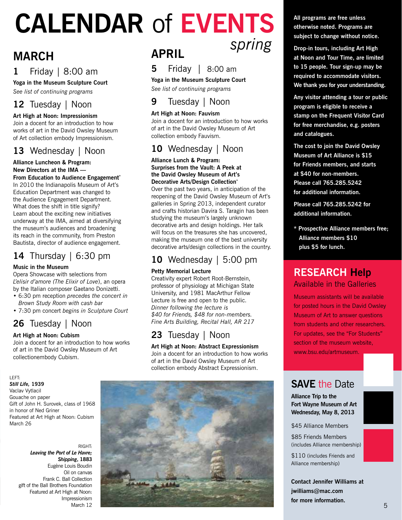# **Calendar** of **Events** *spring*

# **march**

# **1** Friday | 8:00 am

**Yoga in the Museum Sculpture Court**

*See list of continuing programs*

## **12** Tuesday | Noon

#### **Art High at Noon: Impressionism**

Join a docent for an introduction to how works of art in the David Owsley Museum of Art collection embody Impressionism.

## **13** Wednesday | Noon

#### **Alliance Luncheon & Program: New Directors at the IMA — From Education to Audience Engagement\***

In 2010 the Indianapolis Museum of Art's Education Department was changed to the Audience Engagement Department. What does the shift in title signify? Learn about the exciting new initiatives underway at the IMA, aimed at diversifying the museum's audiences and broadening its reach in the community, from Preston Bautista, director of audience engagement.

# **14** Thursday | 6:30 pm

#### **Music in the Museum**

Opera Showcase with selections from *L'elisir d'amore (The Elixir of Love*), an opera by the Italian composer Gaetano Donizetti.

- 6:30 pm reception *precedes the concert in Brown Study Room with cash bar*
- 7:30 pm concert *begins in Sculpture Court*

# **26** Tuesday | Noon

#### **Art High at Noon: Cubism**

Join a docent for an introduction to how works of art in the David Owsley Museum of Art collectionembody Cubism.

#### left:

#### *Still Life,* **1939**

Vaclav Vytlacil Gouache on paper Gift of John H. Surovek, class of 1968 in honor of Ned Griner Featured at Art High at Noon: Cubism March 26

> right: *Leaving the Port of Le Havre; Shipping***, 1883** Eugène Louis Boudin Oil on canvas Frank C. Ball Collection gift of the Ball Brothers Foundation Featured at Art High at Noon: Impressionism March 12

# **april**



**Yoga in the Museum Sculpture Court**

*See list of continuing programs*

# **9** Tuesday | Noon

#### **Art High at Noon: Fauvism**

Join a docent for an introduction to how works of art in the David Owsley Museum of Art collection embody Fauvism.

### **10** Wednesday | Noon

#### **Alliance Lunch & Program: Surprises from the Vault: A Peek at the David Owsley Museum of Art's Decorative Arts/Design Collection\***

Over the past two years, in anticipation of the reopening of the David Owsley Museum of Art's galleries in Spring 2013, independent curator and crafts historian Davira S. Taragin has been studying the museum's largely unknown decorative arts and design holdings. Her talk will focus on the treasures she has uncovered. making the museum one of the best university decorative arts/design collections in the country.

## **10** Wednesday | 5:00 pm

#### **Petty Memorial Lecture**

Creativity expert Robert Root-Bernstein, professor of physiology at Michigan State University, and 1981 MacArthur Fellow Lecture is free and open to the public. *Dinner following the lecture is \$40 for Friends, \$48 for non-members. Fine Arts Building, Recital Hall, AR 217*

# **23** Tuesday | Noon

**Art High at Noon: Abstract Expressionism** Join a docent for an introduction to how works of art in the David Owsley Museum of Art collection embody Abstract Expressionism.



**All programs are free unless otherwise noted. Programs are subject to change without notice.**

**Drop-in tours, including Art High at Noon and Tour Time, are limited to 15 people. Tour sign-up may be required to accommodate visitors. We thank you for your understanding.**

**Any visitor attending a tour or public program is eligible to receive a stamp on the Frequent Visitor Card for free merchandise, e.g. posters and catalogues.**

**The cost to join the David Owsley Museum of Art Alliance is \$15 for Friends members, and starts at \$40 for non-members. Please call 765.285.5242 for additional information.**

**Please call 765.285.5242 for additional information.**

**\* Prospective Alliance members free; Alliance members \$10 plus \$5 for lunch.**

## **Research Help** Available in the Galleries

Museum assistants will be available for posted hours in the David Owsley Museum of Art to answer questions from students and other researchers. For updates, see the "For Students" section of the museum website, www.bsu.edu/artmuseum.

# **SAVE the Date**

**Alliance Trip to the Fort Wayne Museum of Art Wednesday, May 8, 2013**

\$45 Alliance Members

\$85 Friends Members (includes Alliance membership)

\$110 (includes Friends and Alliance membership)

**Contact Jennifer Williams at jwilliams@mac.com for more information.**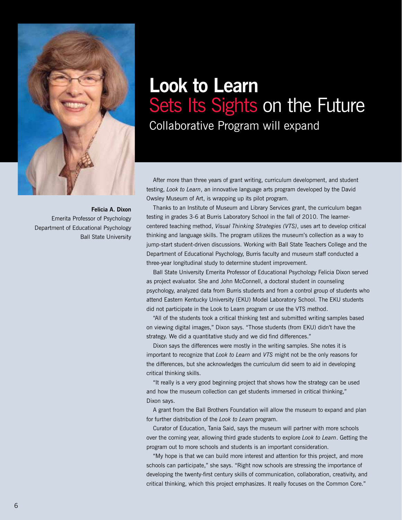

**Felicia A. Dixon** Emerita Professor of Psychology Department of Educational Psychology Ball State University

# **Look to Learn**  Sets Its Sights on the Future

Collaborative Program will expand

After more than three years of grant writing, curriculum development, and student testing, *Look to Learn*, an innovative language arts program developed by the David Owsley Museum of Art, is wrapping up its pilot program.

 Thanks to an Institute of Museum and Library Services grant, the curriculum began testing in grades 3-6 at Burris Laboratory School in the fall of 2010. The learnercentered teaching method, *Visual Thinking Strategies (VTS)*, uses art to develop critical thinking and language skills. The program utilizes the museum's collection as a way to jump-start student-driven discussions. Working with Ball State Teachers College and the Department of Educational Psychology, Burris faculty and museum staff conducted a three-year longitudinal study to determine student improvement.

Ball State University Emerita Professor of Educational Psychology Felicia Dixon served as project evaluator. She and John McConnell, a doctoral student in counseling psychology, analyzed data from Burris students and from a control group of students who attend Eastern Kentucky University (EKU) Model Laboratory School. The EKU students did not participate in the Look to Learn program or use the VTS method.

"All of the students took a critical thinking test and submitted writing samples based on viewing digital images," Dixon says. "Those students (from EKU) didn't have the strategy. We did a quantitative study and we did find differences."

 Dixon says the differences were mostly in the writing samples. She notes it is important to recognize that *Look to Learn* and *VTS* might not be the only reasons for the differences, but she acknowledges the curriculum did seem to aid in developing critical thinking skills.

"It really is a very good beginning project that shows how the strategy can be used and how the museum collection can get students immersed in critical thinking," Dixon says.

A grant from the Ball Brothers Foundation will allow the museum to expand and plan for further distribution of the *Look to Learn* program.

 Curator of Education, Tania Said, says the museum will partner with more schools over the coming year, allowing third grade students to explore *Look to Learn*. Getting the program out to more schools and students is an important consideration.

"My hope is that we can build more interest and attention for this project, and more schools can participate," she says. "Right now schools are stressing the importance of developing the twenty-first century skills of communication, collaboration, creativity, and critical thinking, which this project emphasizes. It really focuses on the Common Core."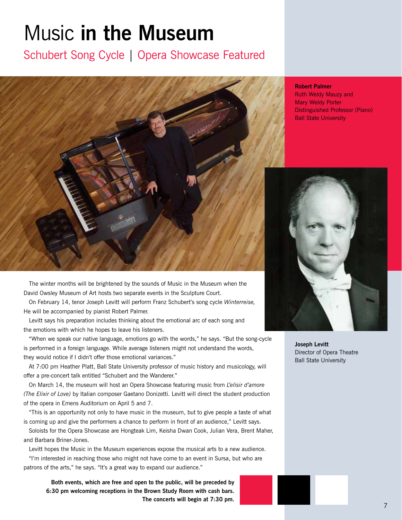# Music **in the Museum**

Schubert Song Cycle | Opera Showcase Featured



 The winter months will be brightened by the sounds of Music in the Museum when the David Owsley Museum of Art hosts two separate events in the Sculpture Court.

 On February 14, tenor Joseph Levitt will perform Franz Schubert's song cycle *Winterreise,* He will be accompanied by pianist Robert Palmer.

Levitt says his preparation includes thinking about the emotional arc of each song and the emotions with which he hopes to leave his listeners.

"When we speak our native language, emotions go with the words," he says. "But the song-cycle is performed in a foreign language. While average listeners might not understand the words, they would notice if I didn't offer those emotional variances."

At 7:00 pm Heather Platt, Ball State University professor of music history and musicology, will offer a pre-concert talk entitled "Schubert and the Wanderer."

 On March 14, the museum will host an Opera Showcase featuring music from *L'elisir d'amore (The Elixir of Love)* by Italian composer Gaetano Donizetti. Levitt will direct the student production of the opera in Emens Auditorium on April 5 and 7.

"This is an opportunity not only to have music in the museum, but to give people a taste of what is coming up and give the performers a chance to perform in front of an audience," Levitt says.

 Soloists for the Opera Showcase are Hongteak Lim, Keisha Dwan Cook, Julian Vera, Brent Maher, and Barbara Briner-Jones.

Levitt hopes the Music in the Museum experiences expose the musical arts to a new audience.

"I'm interested in reaching those who might not have come to an event in Sursa, but who are patrons of the arts," he says. "It's a great way to expand our audience."

**Both events, which are free and open to the public, will be preceded by 6:30 pm welcoming receptions in the Brown Study Room with cash bars. The concerts will begin at 7:30 pm.** 

#### **Robert Palmer**

Ruth Weldy Mauzy and Mary Weldy Porter Distinguished Professor (Piano) Ball State University



**Joseph Levitt** Director of Opera Theatre Ball State University